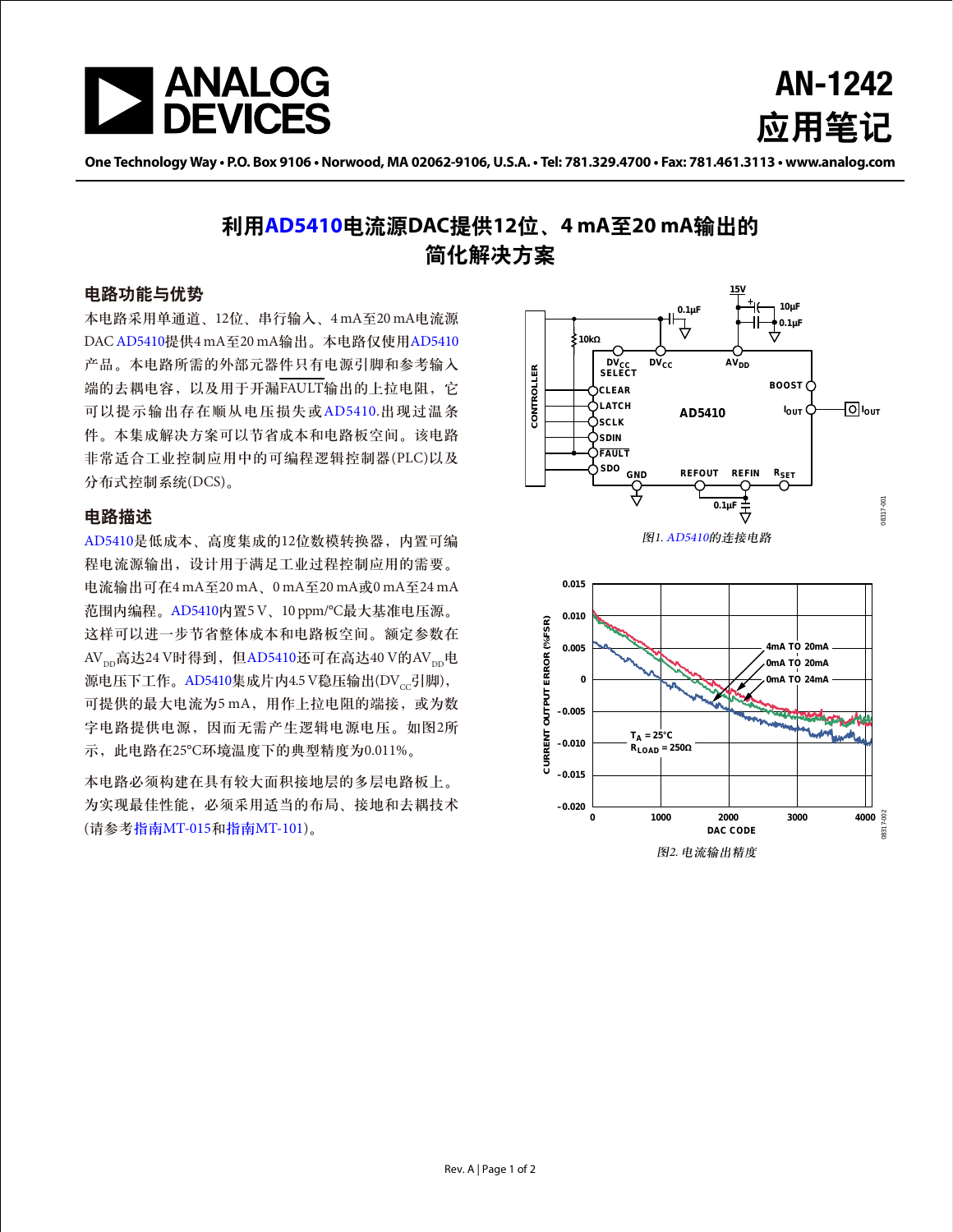

AN-1242 应用笔记

One Technology Way • P.O. Box 9106 • Norwood, MA 02062-9106, U.S.A. • Tel: 781.329.4700 • Fax: 781.461.3113 • www.analog.com

# 利用**[AD5410](www.analog.com/zh/AD5410)**电流源**DAC**提供**12**位、**4 mA**至**20 mA**输出的 简化解决方案

### 电路功能与优势

本电路采用单通道、12位、串行输入、4 mA至20 mA电流源 DAC [AD5410](www.analog.com/zh/AD5410)提供4 mA至20 mA输出。本电路仅使用[AD5410](www.analog.com/zh/AD5410) 产品。本电路所需的外部元器件只有电源引脚和参考输入 端的去耦电容,以及用于开漏FAULT输出的上拉电阻,它 可以提示输出存在顺从电压损失或[AD5410.](www.analog.com/zh/AD5410)出现过温条 件。本集成解决方案可以节省成本和电路板空间。该电路 非常适合工业控制应用中的可编程逻辑控制器(PLC)以及 分布式控制系统(DCS)。

### 电路描述

[AD5410](www.analog.com/zh/AD5410)是低成本、高度集成的12位数模转换器,内置可编 程电流源输出,设计用于满足工业过程控制应用的需要。 电流输出可在4 mA至20 mA、0 mA至20 mA或0 mA至24 mA 范围内编程。[AD5410](www.analog.com/zh/AD5410)内置5 V、10 ppm/°C最大基准电压源。 这样可以进一步节省整体成本和电路板空间。额定参数在  $AV_{\text{nn}}$ 高达24 V时得到, 但[AD5410](www.analog.com/zh/AD5410)还可在高达40 V的AV $_{\text{nn}}$ 电 源电压下工作。[AD5410](www.analog.com/zh/AD5410)集成片内4.5 V稳压输出(DV $_{cc}$ 引脚), 可提供的最大电流为5 mA, 用作上拉电阻的端接, 或为数 字电路提供电源,因而无需产生逻辑电源电压。如图2所 示,此电路在25°C环境温度下的典型精度为0.011%。

本电路必须构建在具有较大面积接地层的多层电路板上。 为实现最佳性能,必须采用适当的布局、接地和去耦技术 (请参考指南[MT-015](http://www.analog.com/MT-015?doc=AN-1242.pdf)和指南[MT-101\)](http://www.analog.com/MT-101?doc=AN-1242.pdf)。





图2. 电流输出精度